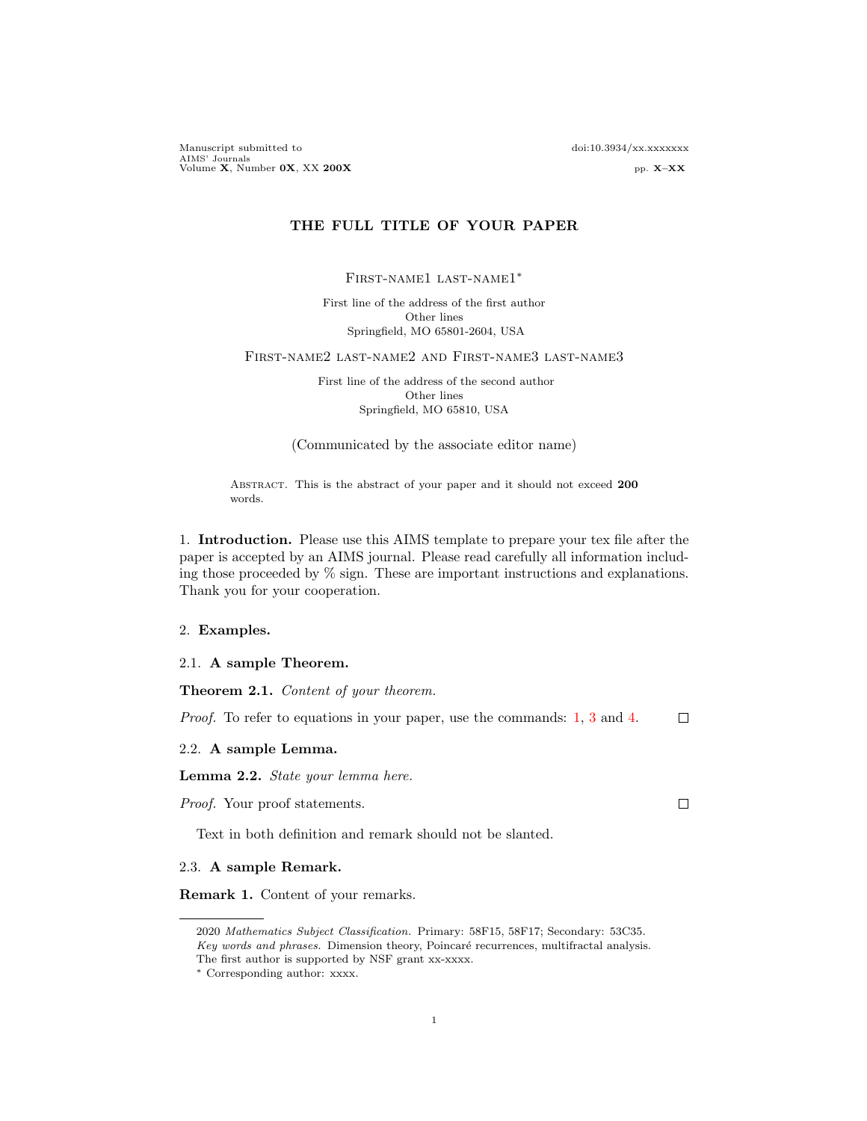Manuscript submitted to doi:10.3934/xx.xxxxxxx AIMS' Journals<br>Volume **X**, Number 0**X**, XX 200**X** pp. X–XX

# THE FULL TITLE OF YOUR PAPER

First-name1 last-name1∗

First line of the address of the first author Other lines Springfield, MO 65801-2604, USA

First-name2 last-name2 and First-name3 last-name3

First line of the address of the second author Other lines Springfield, MO 65810, USA

(Communicated by the associate editor name)

ABSTRACT. This is the abstract of your paper and it should not exceed 200 words.

1. Introduction. Please use this AIMS template to prepare your tex file after the paper is accepted by an AIMS journal. Please read carefully all information including those proceeded by % sign. These are important instructions and explanations. Thank you for your cooperation.

### 2. Examples.

2.1. A sample Theorem.

Theorem 2.1. Content of your theorem.

Proof. To refer to equations in your paper, use the commands: [1,](#page-1-0) [3](#page-1-1) and [4.](#page-2-0)  $\Box$ 

2.2. A sample Lemma.

Lemma 2.2. State your lemma here.

Proof. Your proof statements.

Text in both definition and remark should not be slanted.

#### 2.3. A sample Remark.

Remark 1. Content of your remarks.

 $\Box$ 

<sup>2020</sup> Mathematics Subject Classification. Primary: 58F15, 58F17; Secondary: 53C35. Key words and phrases. Dimension theory, Poincaré recurrences, multifractal analysis. The first author is supported by NSF grant xx-xxxx.

<sup>∗</sup> Corresponding author: xxxx.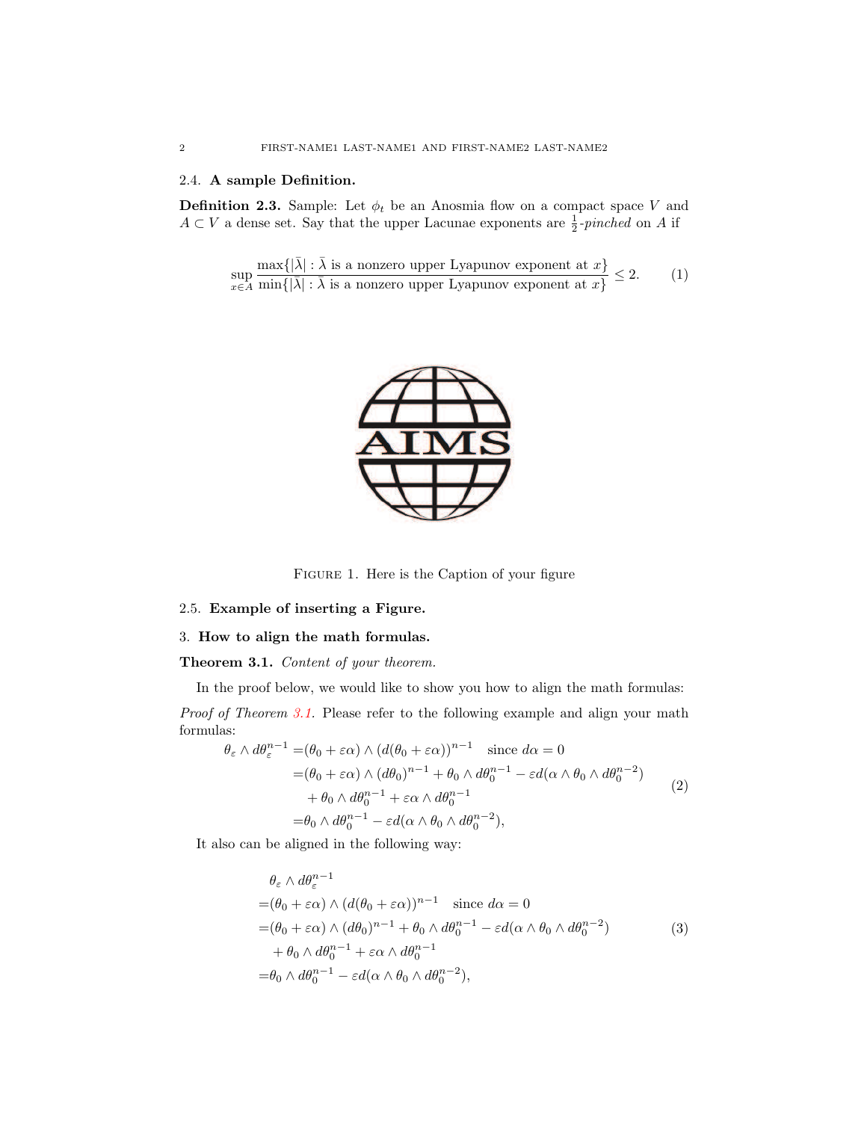# 2.4. A sample Definition.

**Definition 2.3.** Sample: Let  $\phi_t$  be an Anosmia flow on a compact space V and  $A \subset V$  a dense set. Say that the upper Lacunae exponents are  $\frac{1}{2}$ -pinched on A if

<span id="page-1-0"></span>
$$
\sup_{x \in A} \frac{\max\{|\bar{\lambda}| : \bar{\lambda} \text{ is a nonzero upper Lyapunov exponent at } x\}}{\min\{|\bar{\lambda}| : \bar{\lambda} \text{ is a nonzero upper Lyapunov exponent at } x\}} \le 2. \tag{1}
$$



Figure 1. Here is the Caption of your figure

## 2.5. Example of inserting a Figure.

# 3. How to align the math formulas.

## <span id="page-1-2"></span>Theorem 3.1. Content of your theorem.

In the proof below, we would like to show you how to align the math formulas: Proof of Theorem [3.1.](#page-1-2) Please refer to the following example and align your math formulas:

$$
\theta_{\varepsilon} \wedge d\theta_{\varepsilon}^{n-1} = (\theta_{0} + \varepsilon \alpha) \wedge (d(\theta_{0} + \varepsilon \alpha))^{n-1} \text{ since } d\alpha = 0
$$
  
\n
$$
= (\theta_{0} + \varepsilon \alpha) \wedge (d\theta_{0})^{n-1} + \theta_{0} \wedge d\theta_{0}^{n-1} - \varepsilon d(\alpha \wedge \theta_{0} \wedge d\theta_{0}^{n-2})
$$
  
\n
$$
+ \theta_{0} \wedge d\theta_{0}^{n-1} + \varepsilon \alpha \wedge d\theta_{0}^{n-1}
$$
  
\n
$$
= \theta_{0} \wedge d\theta_{0}^{n-1} - \varepsilon d(\alpha \wedge \theta_{0} \wedge d\theta_{0}^{n-2}),
$$
\n(2)

<span id="page-1-1"></span>It also can be aligned in the following way:

$$
\theta_{\varepsilon} \wedge d\theta_{\varepsilon}^{n-1}
$$
\n
$$
= (\theta_0 + \varepsilon \alpha) \wedge (d(\theta_0 + \varepsilon \alpha))^{n-1} \quad \text{since } d\alpha = 0
$$
\n
$$
= (\theta_0 + \varepsilon \alpha) \wedge (d\theta_0)^{n-1} + \theta_0 \wedge d\theta_0^{n-1} - \varepsilon d(\alpha \wedge \theta_0 \wedge d\theta_0^{n-2})
$$
\n
$$
+ \theta_0 \wedge d\theta_0^{n-1} + \varepsilon \alpha \wedge d\theta_0^{n-1}
$$
\n
$$
= \theta_0 \wedge d\theta_0^{n-1} - \varepsilon d(\alpha \wedge \theta_0 \wedge d\theta_0^{n-2}),
$$
\n(3)